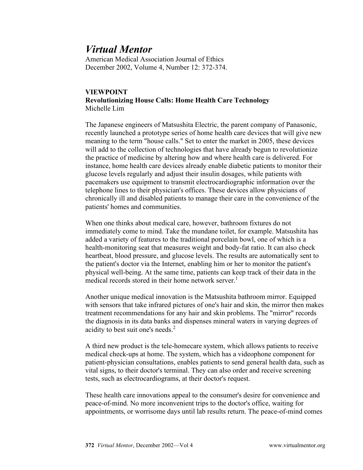## *Virtual Mentor*

American Medical Association Journal of Ethics December 2002, Volume 4, Number 12: 372-374.

## **VIEWPOINT Revolutionizing House Calls: Home Health Care Technology** Michelle Lim

The Japanese engineers of Matsushita Electric, the parent company of Panasonic, recently launched a prototype series of home health care devices that will give new meaning to the term "house calls." Set to enter the market in 2005, these devices will add to the collection of technologies that have already begun to revolutionize the practice of medicine by altering how and where health care is delivered. For instance, home health care devices already enable diabetic patients to monitor their glucose levels regularly and adjust their insulin dosages, while patients with pacemakers use equipment to transmit electrocardiographic information over the telephone lines to their physician's offices. These devices allow physicians of chronically ill and disabled patients to manage their care in the convenience of the patients' homes and communities.

When one thinks about medical care, however, bathroom fixtures do not immediately come to mind. Take the mundane toilet, for example. Matsushita has added a variety of features to the traditional porcelain bowl, one of which is a health-monitoring seat that measures weight and body-fat ratio. It can also check heartbeat, blood pressure, and glucose levels. The results are automatically sent to the patient's doctor via the Internet, enabling him or her to monitor the patient's physical well-being. At the same time, patients can keep track of their data in the medical records stored in their home network server.<sup>1</sup>

Another unique medical innovation is the Matsushita bathroom mirror. Equipped with sensors that take infrared pictures of one's hair and skin, the mirror then makes treatment recommendations for any hair and skin problems. The "mirror" records the diagnosis in its data banks and dispenses mineral waters in varying degrees of acidity to best suit one's needs.<sup>2</sup>

A third new product is the tele-homecare system, which allows patients to receive medical check-ups at home. The system, which has a videophone component for patient-physician consultations, enables patients to send general health data, such as vital signs, to their doctor's terminal. They can also order and receive screening tests, such as electrocardiograms, at their doctor's request.

These health care innovations appeal to the consumer's desire for convenience and peace-of-mind. No more inconvenient trips to the doctor's office, waiting for appointments, or worrisome days until lab results return. The peace-of-mind comes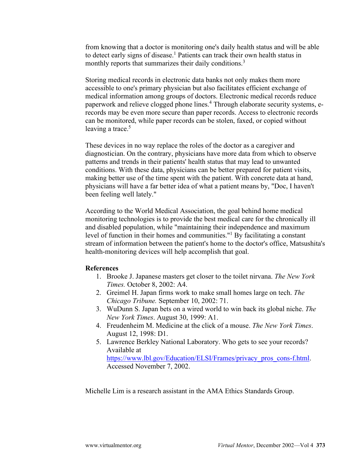from knowing that a doctor is monitoring one's daily health status and will be able to detect early signs of disease.<sup>1</sup> Patients can track their own health status in monthly reports that summarizes their daily conditions.<sup>3</sup>

Storing medical records in electronic data banks not only makes them more accessible to one's primary physician but also facilitates efficient exchange of medical information among groups of doctors. Electronic medical records reduce paperwork and relieve clogged phone lines.<sup>4</sup> Through elaborate security systems, erecords may be even more secure than paper records. Access to electronic records can be monitored, while paper records can be stolen, faxed, or copied without leaving a trace. $5$ 

These devices in no way replace the roles of the doctor as a caregiver and diagnostician. On the contrary, physicians have more data from which to observe patterns and trends in their patients' health status that may lead to unwanted conditions. With these data, physicians can be better prepared for patient visits, making better use of the time spent with the patient. With concrete data at hand, physicians will have a far better idea of what a patient means by, "Doc, I haven't been feeling well lately."

According to the World Medical Association, the goal behind home medical monitoring technologies is to provide the best medical care for the chronically ill and disabled population, while "maintaining their independence and maximum level of function in their homes and communities."<sup>1</sup> By facilitating a constant stream of information between the patient's home to the doctor's office, Matsushita's health-monitoring devices will help accomplish that goal.

## **References**

- 1. Brooke J. Japanese masters get closer to the toilet nirvana. *The New York Times.* October 8, 2002: A4.
- 2. Greimel H. Japan firms work to make small homes large on tech. *The Chicago Tribune.* September 10, 2002: 71.
- 3. WuDunn S. Japan bets on a wired world to win back its global niche. *The New York Times*. August 30, 1999: A1.
- 4. Freudenheim M. Medicine at the click of a mouse. *The New York Times*. August 12, 1998: D1.
- 5. Lawrence Berkley National Laboratory. Who gets to see your records? Available at [https://www.lbl.gov/Education/ELSI/Frames/privacy\\_pros\\_cons-f.html.](https://www.lbl.gov/Education/ELSI/Frames/privacy_pros_cons-f.html) Accessed November 7, 2002.

Michelle Lim is a research assistant in the AMA Ethics Standards Group.